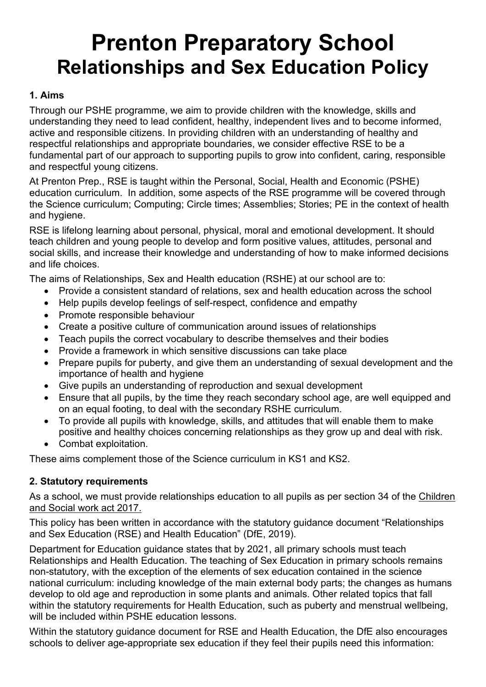# **Prenton Preparatory School Relationships and Sex Education Policy**

#### **1. Aims**

Through our PSHE programme, we aim to provide children with the knowledge, skills and understanding they need to lead confident, healthy, independent lives and to become informed, active and responsible citizens. In providing children with an understanding of healthy and respectful relationships and appropriate boundaries, we consider effective RSE to be a fundamental part of our approach to supporting pupils to grow into confident, caring, responsible and respectful young citizens.

At Prenton Prep., RSE is taught within the Personal, Social, Health and Economic (PSHE) education curriculum. In addition, some aspects of the RSE programme will be covered through the Science curriculum; Computing; Circle times; Assemblies; Stories; PE in the context of health and hygiene.

RSE is lifelong learning about personal, physical, moral and emotional development. It should teach children and young people to develop and form positive values, attitudes, personal and social skills, and increase their knowledge and understanding of how to make informed decisions and life choices.

The aims of Relationships, Sex and Health education (RSHE) at our school are to:

- Provide a consistent standard of relations, sex and health education across the school
- Help pupils develop feelings of self-respect, confidence and empathy
- Promote responsible behaviour
- Create a positive culture of communication around issues of relationships
- Teach pupils the correct vocabulary to describe themselves and their bodies
- Provide a framework in which sensitive discussions can take place
- Prepare pupils for puberty, and give them an understanding of sexual development and the importance of health and hygiene
- Give pupils an understanding of reproduction and sexual development
- Ensure that all pupils, by the time they reach secondary school age, are well equipped and on an equal footing, to deal with the secondary RSHE curriculum.
- To provide all pupils with knowledge, skills, and attitudes that will enable them to make positive and healthy choices concerning relationships as they grow up and deal with risk.
- Combat exploitation.

These aims complement those of the Science curriculum in KS1 and KS2.

#### **2. Statutory requirements**

As a school, we must provide relationships education to all pupils as per section 34 of the [Children](http://www.legislation.gov.uk/ukpga/2017/16/section/34/enacted) and [Social](http://www.legislation.gov.uk/ukpga/2017/16/section/34/enacted) work act 2017.

This policy has been written in accordance with the statutory guidance document "Relationships and Sex Education (RSE) and Health Education" (DfE, 2019).

Department for Education guidance states that by 2021, all primary schools must teach Relationships and Health Education. The teaching of Sex Education in primary schools remains non-statutory, with the exception of the elements of sex education contained in the science national curriculum: including knowledge of the main external body parts; the changes as humans develop to old age and reproduction in some plants and animals. Other related topics that fall within the statutory requirements for Health Education, such as puberty and menstrual wellbeing, will be included within PSHE education lessons.

Within the statutory guidance document for RSE and Health Education, the DfE also encourages schools to deliver age-appropriate sex education if they feel their pupils need this information: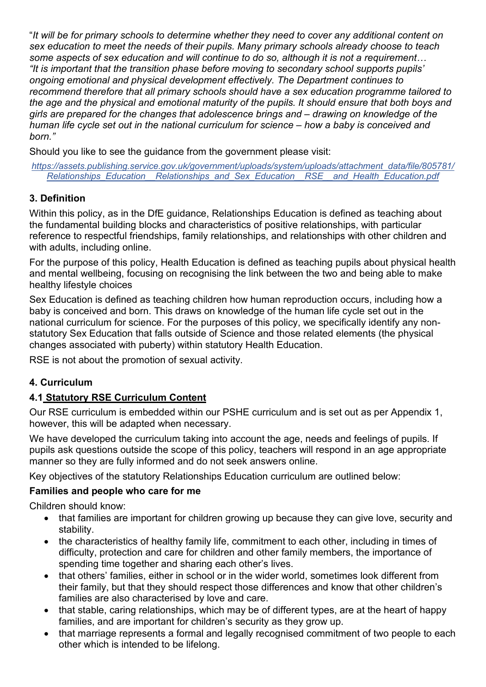"*It will be for primary schools to determine whether they need to cover any additional content on sex education to meet the needs of their pupils. Many primary schools already choose to teach some aspects of sex education and will continue to do so, although it is not a requirement… "It is important that the transition phase before moving to secondary school supports pupils' ongoing emotional and physical development effectively. The Department continues to recommend therefore that all primary schools should have a sex education programme tailored to the age and the physical and emotional maturity of the pupils. It should ensure that both boys and girls are prepared for the changes that adolescence brings and – drawing on knowledge of the human life cycle set out in the national curriculum for science – how a baby is conceived and born."*

Should you like to see the guidance from the government please visit:

*[https://assets.publishing.service.gov.uk/government/uploads/system/uploads/attachment\\_data/file/805781/](https://assets.publishing.service.gov.uk/government/uploads/system/uploads/attachment_data/file/805781/Relationships_Education__Relationships_and_Sex_Education__RSE__and_Health_Education.pdf) [Relationships\\_Education\\_\\_Relationships\\_and\\_Sex\\_Education\\_\\_RSE\\_\\_and\\_Health\\_Education.pdf](https://assets.publishing.service.gov.uk/government/uploads/system/uploads/attachment_data/file/805781/Relationships_Education__Relationships_and_Sex_Education__RSE__and_Health_Education.pdf)*

#### **3. Definition**

Within this policy, as in the DfE guidance, Relationships Education is defined as teaching about the fundamental building blocks and characteristics of positive relationships, with particular reference to respectful friendships, family relationships, and relationships with other children and with adults, including online.

For the purpose of this policy, Health Education is defined as teaching pupils about physical health and mental wellbeing, focusing on recognising the link between the two and being able to make healthy lifestyle choices

Sex Education is defined as teaching children how human reproduction occurs, including how a baby is conceived and born. This draws on knowledge of the human life cycle set out in the national curriculum for science. For the purposes of this policy, we specifically identify any nonstatutory Sex Education that falls outside of Science and those related elements (the physical changes associated with puberty) within statutory Health Education.

RSE is not about the promotion of sexual activity.

#### **4. Curriculum**

### **4.1 Statutory RSE Curriculum Content**

Our RSE curriculum is embedded within our PSHE curriculum and is set out as per Appendix 1, however, this will be adapted when necessary.

We have developed the curriculum taking into account the age, needs and feelings of pupils. If pupils ask questions outside the scope of this policy, teachers will respond in an age appropriate manner so they are fully informed and do not seek answers online.

Key objectives of the statutory Relationships Education curriculum are outlined below:

#### **Families and people who care for me**

Children should know:

- that families are important for children growing up because they can give love, security and stability.
- the characteristics of healthy family life, commitment to each other, including in times of difficulty, protection and care for children and other family members, the importance of spending time together and sharing each other's lives.
- that others' families, either in school or in the wider world, sometimes look different from their family, but that they should respect those differences and know that other children's families are also characterised by love and care.
- that stable, caring relationships, which may be of different types, are at the heart of happy families, and are important for children's security as they grow up.
- that marriage represents a formal and legally recognised commitment of two people to each other which is intended to be lifelong.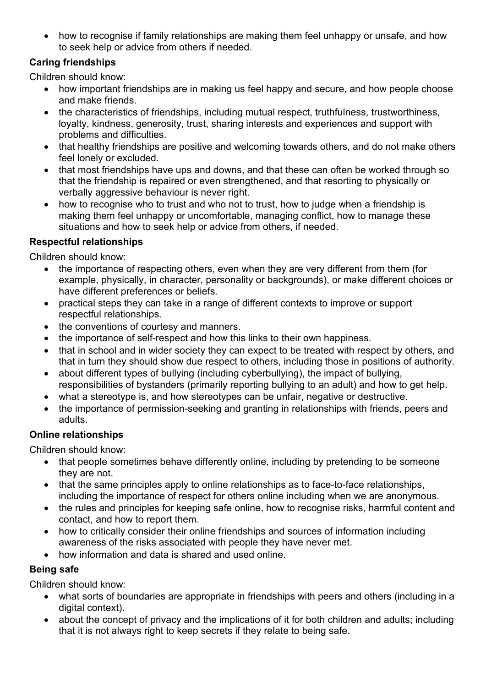• how to recognise if family relationships are making them feel unhappy or unsafe, and how to seek help or advice from others if needed.

## **Caring friendships**

Children should know:

- how important friendships are in making us feel happy and secure, and how people choose and make friends.
- the characteristics of friendships, including mutual respect, truthfulness, trustworthiness, loyalty, kindness, generosity, trust, sharing interests and experiences and support with problems and difficulties.
- that healthy friendships are positive and welcoming towards others, and do not make others feel lonely or excluded.
- that most friendships have ups and downs, and that these can often be worked through so that the friendship is repaired or even strengthened, and that resorting to physically or verbally aggressive behaviour is never right.
- how to recognise who to trust and who not to trust, how to judge when a friendship is making them feel unhappy or uncomfortable, managing conflict, how to manage these situations and how to seek help or advice from others, if needed.

### **Respectful relationships**

Children should know:

- the importance of respecting others, even when they are very different from them (for example, physically, in character, personality or backgrounds), or make different choices or have different preferences or beliefs.
- practical steps they can take in a range of different contexts to improve or support respectful relationships.
- the conventions of courtesy and manners.
- the importance of self-respect and how this links to their own happiness.
- that in school and in wider society they can expect to be treated with respect by others, and that in turn they should show due respect to others, including those in positions of authority.
- about different types of bullying (including cyberbullying), the impact of bullying, responsibilities of bystanders (primarily reporting bullying to an adult) and how to get help.
- what a stereotype is, and how stereotypes can be unfair, negative or destructive.
- the importance of permission-seeking and granting in relationships with friends, peers and adults.

### **Online relationships**

Children should know:

- that people sometimes behave differently online, including by pretending to be someone they are not.
- that the same principles apply to online relationships as to face-to-face relationships, including the importance of respect for others online including when we are anonymous.
- the rules and principles for keeping safe online, how to recognise risks, harmful content and contact, and how to report them.
- how to critically consider their online friendships and sources of information including awareness of the risks associated with people they have never met.
- how information and data is shared and used online.

### **Being safe**

Children should know:

- what sorts of boundaries are appropriate in friendships with peers and others (including in a digital context).
- about the concept of privacy and the implications of it for both children and adults; including that it is not always right to keep secrets if they relate to being safe.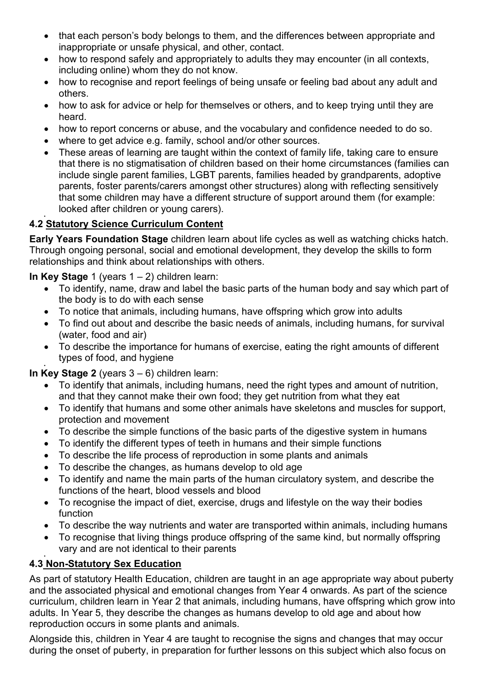- that each person's body belongs to them, and the differences between appropriate and inappropriate or unsafe physical, and other, contact.
- how to respond safely and appropriately to adults they may encounter (in all contexts, including online) whom they do not know.
- how to recognise and report feelings of being unsafe or feeling bad about any adult and others.
- how to ask for advice or help for themselves or others, and to keep trying until they are heard.
- how to report concerns or abuse, and the vocabulary and confidence needed to do so.
- where to get advice e.g. family, school and/or other sources.
- These areas of learning are taught within the context of family life, taking care to ensure that there is no stigmatisation of children based on their home circumstances (families can include single parent families, LGBT parents, families headed by grandparents, adoptive parents, foster parents/carers amongst other structures) along with reflecting sensitively that some children may have a different structure of support around them (for example: looked after children or young carers).

#### • **4.2 Statutory Science Curriculum Content**

**Early Years Foundation Stage** children learn about life cycles as well as watching chicks hatch. Through ongoing personal, social and emotional development, they develop the skills to form relationships and think about relationships with others.

#### **In Key Stage** 1 (years 1 – 2) children learn:

- To identify, name, draw and label the basic parts of the human body and say which part of the body is to do with each sense
- To notice that animals, including humans, have offspring which grow into adults
- To find out about and describe the basic needs of animals, including humans, for survival (water, food and air)
- To describe the importance for humans of exercise, eating the right amounts of different types of food, and hygiene

#### • **In Key Stage 2** (years 3 – 6) children learn:

- To identify that animals, including humans, need the right types and amount of nutrition, and that they cannot make their own food; they get nutrition from what they eat
- To identify that humans and some other animals have skeletons and muscles for support, protection and movement
- To describe the simple functions of the basic parts of the digestive system in humans
- To identify the different types of teeth in humans and their simple functions
- To describe the life process of reproduction in some plants and animals
- To describe the changes, as humans develop to old age
- To identify and name the main parts of the human circulatory system, and describe the functions of the heart, blood vessels and blood
- To recognise the impact of diet, exercise, drugs and lifestyle on the way their bodies function
- To describe the way nutrients and water are transported within animals, including humans
- To recognise that living things produce offspring of the same kind, but normally offspring vary and are not identical to their parents

#### • **4.3 Non-Statutory Sex Education**

As part of statutory Health Education, children are taught in an age appropriate way about puberty and the associated physical and emotional changes from Year 4 onwards. As part of the science curriculum, children learn in Year 2 that animals, including humans, have offspring which grow into adults. In Year 5, they describe the changes as humans develop to old age and about how reproduction occurs in some plants and animals.

Alongside this, children in Year 4 are taught to recognise the signs and changes that may occur during the onset of puberty, in preparation for further lessons on this subject which also focus on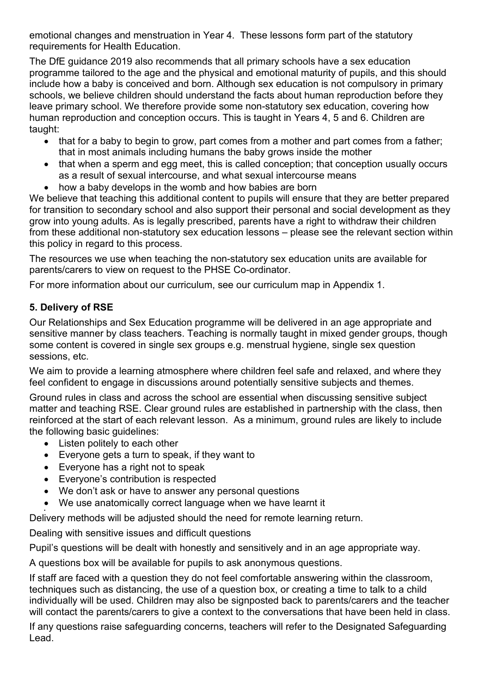emotional changes and menstruation in Year 4. These lessons form part of the statutory requirements for Health Education.

The DfE guidance 2019 also recommends that all primary schools have a sex education programme tailored to the age and the physical and emotional maturity of pupils, and this should include how a baby is conceived and born. Although sex education is not compulsory in primary schools, we believe children should understand the facts about human reproduction before they leave primary school. We therefore provide some non-statutory sex education, covering how human reproduction and conception occurs. This is taught in Years 4, 5 and 6. Children are taught:

- that for a baby to begin to grow, part comes from a mother and part comes from a father; that in most animals including humans the baby grows inside the mother
- that when a sperm and egg meet, this is called conception; that conception usually occurs as a result of sexual intercourse, and what sexual intercourse means
- how a baby develops in the womb and how babies are born

We believe that teaching this additional content to pupils will ensure that they are better prepared for transition to secondary school and also support their personal and social development as they grow into young adults. As is legally prescribed, parents have a right to withdraw their children from these additional non-statutory sex education lessons – please see the relevant section within this policy in regard to this process.

The resources we use when teaching the non-statutory sex education units are available for parents/carers to view on request to the PHSE Co-ordinator.

For more information about our curriculum, see our curriculum map in Appendix 1.

## **5. Delivery of RSE**

Our Relationships and Sex Education programme will be delivered in an age appropriate and sensitive manner by class teachers. Teaching is normally taught in mixed gender groups, though some content is covered in single sex groups e.g. menstrual hygiene, single sex question sessions, etc.

We aim to provide a learning atmosphere where children feel safe and relaxed, and where they feel confident to engage in discussions around potentially sensitive subjects and themes.

Ground rules in class and across the school are essential when discussing sensitive subject matter and teaching RSE. Clear ground rules are established in partnership with the class, then reinforced at the start of each relevant lesson. As a minimum, ground rules are likely to include the following basic guidelines:

- Listen politely to each other
- Everyone gets a turn to speak, if they want to
- Everyone has a right not to speak
- Everyone's contribution is respected
- We don't ask or have to answer any personal questions
- We use anatomically correct language when we have learnt it

• Delivery methods will be adjusted should the need for remote learning return.

Dealing with sensitive issues and difficult questions

Pupil's questions will be dealt with honestly and sensitively and in an age appropriate way.

A questions box will be available for pupils to ask anonymous questions.

If staff are faced with a question they do not feel comfortable answering within the classroom, techniques such as distancing, the use of a question box, or creating a time to talk to a child individually will be used. Children may also be signposted back to parents/carers and the teacher will contact the parents/carers to give a context to the conversations that have been held in class.

If any questions raise safeguarding concerns, teachers will refer to the Designated Safeguarding Lead.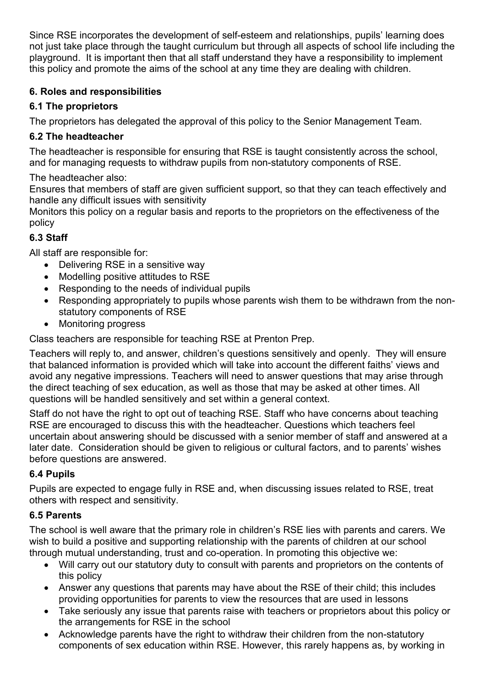Since RSE incorporates the development of self-esteem and relationships, pupils' learning does not just take place through the taught curriculum but through all aspects of school life including the playground. It is important then that all staff understand they have a responsibility to implement this policy and promote the aims of the school at any time they are dealing with children.

### **6. Roles and responsibilities**

### **6.1 The proprietors**

The proprietors has delegated the approval of this policy to the Senior Management Team.

#### **6.2 The headteacher**

The headteacher is responsible for ensuring that RSE is taught consistently across the school, and for managing requests to withdraw pupils from non-statutory components of RSE.

The headteacher also:

Ensures that members of staff are given sufficient support, so that they can teach effectively and handle any difficult issues with sensitivity

Monitors this policy on a regular basis and reports to the proprietors on the effectiveness of the policy

### **6.3 Staff**

All staff are responsible for:

- Delivering RSE in a sensitive way
- Modelling positive attitudes to RSE
- Responding to the needs of individual pupils
- Responding appropriately to pupils whose parents wish them to be withdrawn from the nonstatutory components of RSE
- Monitoring progress

Class teachers are responsible for teaching RSE at Prenton Prep.

Teachers will reply to, and answer, children's questions sensitively and openly. They will ensure that balanced information is provided which will take into account the different faiths' views and avoid any negative impressions. Teachers will need to answer questions that may arise through the direct teaching of sex education, as well as those that may be asked at other times. All questions will be handled sensitively and set within a general context.

Staff do not have the right to opt out of teaching RSE. Staff who have concerns about teaching RSE are encouraged to discuss this with the headteacher. Questions which teachers feel uncertain about answering should be discussed with a senior member of staff and answered at a later date. Consideration should be given to religious or cultural factors, and to parents' wishes before questions are answered.

### **6.4 Pupils**

Pupils are expected to engage fully in RSE and, when discussing issues related to RSE, treat others with respect and sensitivity.

### **6.5 Parents**

The school is well aware that the primary role in children's RSE lies with parents and carers. We wish to build a positive and supporting relationship with the parents of children at our school through mutual understanding, trust and co-operation. In promoting this objective we:

- Will carry out our statutory duty to consult with parents and proprietors on the contents of this policy
- Answer any questions that parents may have about the RSE of their child; this includes providing opportunities for parents to view the resources that are used in lessons
- Take seriously any issue that parents raise with teachers or proprietors about this policy or the arrangements for RSE in the school
- Acknowledge parents have the right to withdraw their children from the non-statutory components of sex education within RSE. However, this rarely happens as, by working in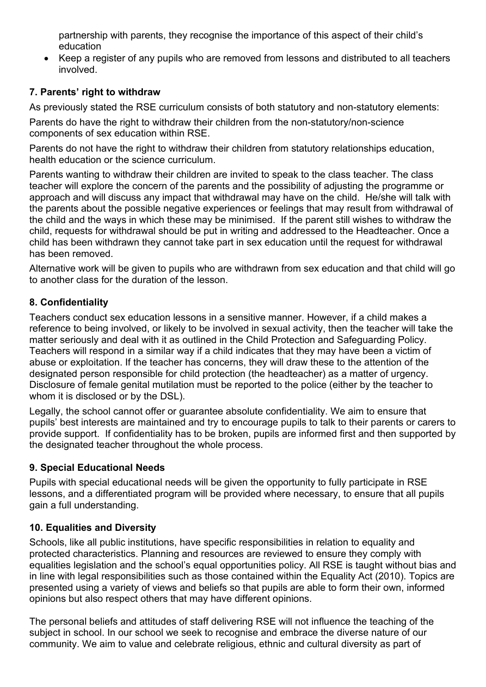partnership with parents, they recognise the importance of this aspect of their child's education

• Keep a register of any pupils who are removed from lessons and distributed to all teachers involved.

### **7. Parents' right to withdraw**

As previously stated the RSE curriculum consists of both statutory and non-statutory elements:

Parents do have the right to withdraw their children from the non-statutory/non-science components of sex education within RSE.

Parents do not have the right to withdraw their children from statutory relationships education, health education or the science curriculum.

Parents wanting to withdraw their children are invited to speak to the class teacher. The class teacher will explore the concern of the parents and the possibility of adjusting the programme or approach and will discuss any impact that withdrawal may have on the child. He/she will talk with the parents about the possible negative experiences or feelings that may result from withdrawal of the child and the ways in which these may be minimised. If the parent still wishes to withdraw the child, requests for withdrawal should be put in writing and addressed to the Headteacher. Once a child has been withdrawn they cannot take part in sex education until the request for withdrawal has been removed.

Alternative work will be given to pupils who are withdrawn from sex education and that child will go to another class for the duration of the lesson.

#### **8. Confidentiality**

Teachers conduct sex education lessons in a sensitive manner. However, if a child makes a reference to being involved, or likely to be involved in sexual activity, then the teacher will take the matter seriously and deal with it as outlined in the Child Protection and Safeguarding Policy. Teachers will respond in a similar way if a child indicates that they may have been a victim of abuse or exploitation. If the teacher has concerns, they will draw these to the attention of the designated person responsible for child protection (the headteacher) as a matter of urgency. Disclosure of female genital mutilation must be reported to the police (either by the teacher to whom it is disclosed or by the DSL).

Legally, the school cannot offer or guarantee absolute confidentiality. We aim to ensure that pupils' best interests are maintained and try to encourage pupils to talk to their parents or carers to provide support. If confidentiality has to be broken, pupils are informed first and then supported by the designated teacher throughout the whole process.

#### **9. Special Educational Needs**

Pupils with special educational needs will be given the opportunity to fully participate in RSE lessons, and a differentiated program will be provided where necessary, to ensure that all pupils gain a full understanding.

### **10. Equalities and Diversity**

Schools, like all public institutions, have specific responsibilities in relation to equality and protected characteristics. Planning and resources are reviewed to ensure they comply with equalities legislation and the school's equal opportunities policy. All RSE is taught without bias and in line with legal responsibilities such as those contained within the Equality Act (2010). Topics are presented using a variety of views and beliefs so that pupils are able to form their own, informed opinions but also respect others that may have different opinions.

The personal beliefs and attitudes of staff delivering RSE will not influence the teaching of the subject in school. In our school we seek to recognise and embrace the diverse nature of our community. We aim to value and celebrate religious, ethnic and cultural diversity as part of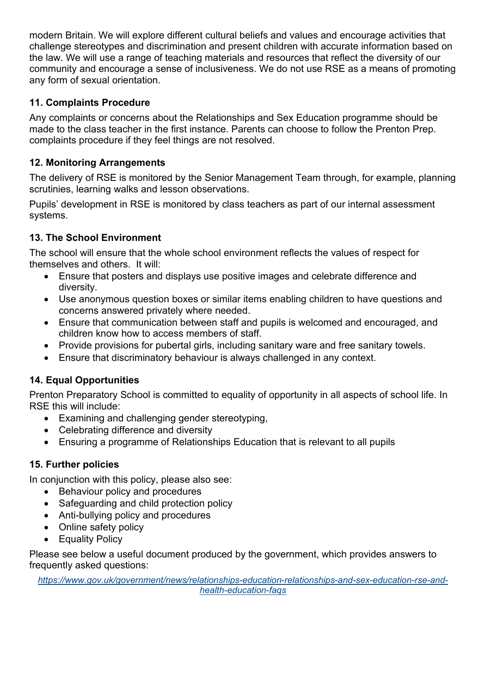modern Britain. We will explore different cultural beliefs and values and encourage activities that challenge stereotypes and discrimination and present children with accurate information based on the law. We will use a range of teaching materials and resources that reflect the diversity of our community and encourage a sense of inclusiveness. We do not use RSE as a means of promoting any form of sexual orientation.

#### **11. Complaints Procedure**

Any complaints or concerns about the Relationships and Sex Education programme should be made to the class teacher in the first instance. Parents can choose to follow the Prenton Prep. complaints procedure if they feel things are not resolved.

### **12. Monitoring Arrangements**

The delivery of RSE is monitored by the Senior Management Team through, for example, planning scrutinies, learning walks and lesson observations.

Pupils' development in RSE is monitored by class teachers as part of our internal assessment systems.

### **13. The School Environment**

The school will ensure that the whole school environment reflects the values of respect for themselves and others. It will:

- Ensure that posters and displays use positive images and celebrate difference and diversity.
- Use anonymous question boxes or similar items enabling children to have questions and concerns answered privately where needed.
- Ensure that communication between staff and pupils is welcomed and encouraged, and children know how to access members of staff.
- Provide provisions for pubertal girls, including sanitary ware and free sanitary towels.
- Ensure that discriminatory behaviour is always challenged in any context.

### **14. Equal Opportunities**

Prenton Preparatory School is committed to equality of opportunity in all aspects of school life. In RSE this will include:

- Examining and challenging gender stereotyping,
- Celebrating difference and diversity
- Ensuring a programme of Relationships Education that is relevant to all pupils

### **15. Further policies**

In conjunction with this policy, please also see:

- Behaviour policy and procedures
- Safeguarding and child protection policy
- Anti-bullying policy and procedures
- Online safety policy
- Equality Policy

Please see below a useful document produced by the government, which provides answers to frequently asked questions:

*[https://www.gov.uk/government/news/relationships-education-relationships-and-sex-education-rse-and](https://www.gov.uk/government/news/relationships-education-relationships-and-sex-education-rse-and-health-education-faqs)[health-education-faqs](https://www.gov.uk/government/news/relationships-education-relationships-and-sex-education-rse-and-health-education-faqs)*